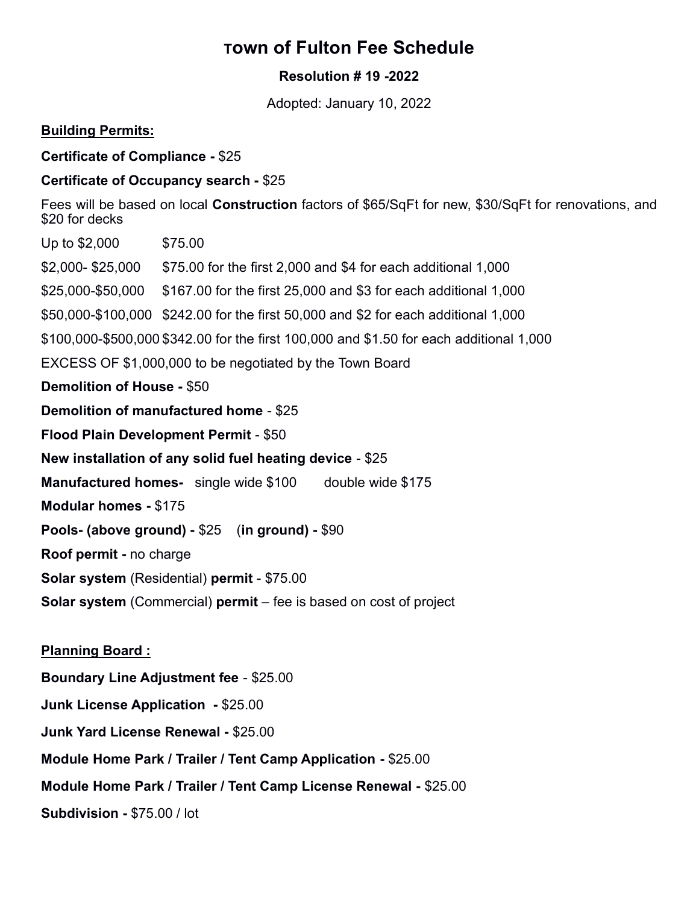## Town of Fulton Fee Schedule

## Resolution # 19 -2022

Adopted: January 10, 2022

## Building Permits:

Certificate of Compliance - \$25

## Certificate of Occupancy search - \$25

Fees will be based on local Construction factors of \$65/SqFt for new, \$30/SqFt for renovations, and \$20 for decks

Up to \$2,000 \$75.00 \$2,000- \$25,000 \$75.00 for the first 2,000 and \$4 for each additional 1,000 \$25,000-\$50,000 \$167.00 for the first 25,000 and \$3 for each additional 1,000 \$50,000-\$100,000 \$242.00 for the first 50,000 and \$2 for each additional 1,000 \$100,000-\$500,000 \$342.00 for the first 100,000 and \$1.50 for each additional 1,000 EXCESS OF \$1,000,000 to be negotiated by the Town Board Demolition of House - \$50 Demolition of manufactured home - \$25 Flood Plain Development Permit - \$50 New installation of any solid fuel heating device - \$25 **Manufactured homes-** single wide \$100 double wide \$175 Modular homes - \$175 Pools- (above ground) - \$25 (in ground) - \$90 Roof permit - no charge Solar system (Residential) permit - \$75.00 Solar system (Commercial) permit – fee is based on cost of project

Planning Board : Boundary Line Adjustment fee - \$25.00 Junk License Application - \$25.00 Junk Yard License Renewal - \$25.00 Module Home Park / Trailer / Tent Camp Application - \$25.00 Module Home Park / Trailer / Tent Camp License Renewal - \$25.00 Subdivision - \$75.00 / lot